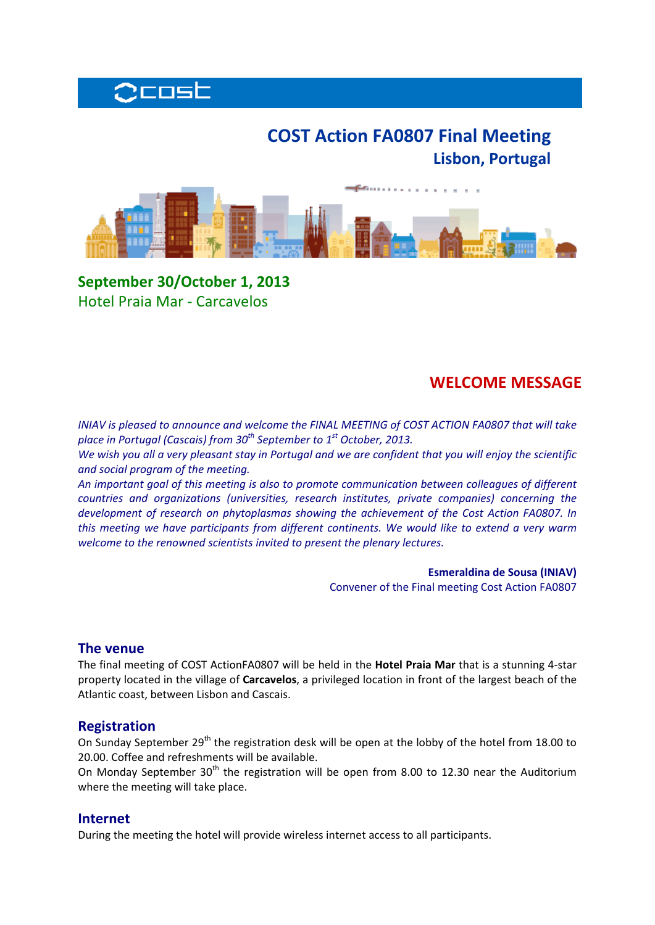

# **COST Action FA0807 Final Meeting Lisbon, Portugal**



**September 30/October 1, 2013** Hotel Praia Mar ‐ Carcavelos

## **WELCOME MESSAGE**

*INIAV is pleased to announce and welcome the FINAL MEETING of COST ACTION FA0807 that will take place in Portugal (Cascais) from 30th September to 1st October, 2013.* 

We wish you all a very pleasant stay in Portugal and we are confident that you will enjoy the scientific *and social program of the meeting.* 

*An important goal of this meeting is also to promote communication between colleagues of different countries and organizations (universities, research institutes, private companies) concerning the development of research on phytoplasmas showing the achievement of the Cost Action FA0807. In this meeting we have participants from different continents. We would like to extend a very warm welcome to the renowned scientists invited to present the plenary lectures.*

> **Esmeraldina de Sousa (INIAV)** Convener of the Final meeting Cost Action FA0807

#### **The venue**

The final meeting of COST ActionFA0807 will be held in the **Hotel Praia Mar** that is a stunning 4‐star property located in the village of **Carcavelos**, a privileged location in front of the largest beach of the Atlantic coast, between Lisbon and Cascais.

#### **Registration**

On Sunday September 29<sup>th</sup> the registration desk will be open at the lobby of the hotel from 18.00 to 20.00. Coffee and refreshments will be available.

On Monday September  $30<sup>th</sup>$  the registration will be open from 8.00 to 12.30 near the Auditorium where the meeting will take place.

#### **Internet**

During the meeting the hotel will provide wireless internet access to all participants.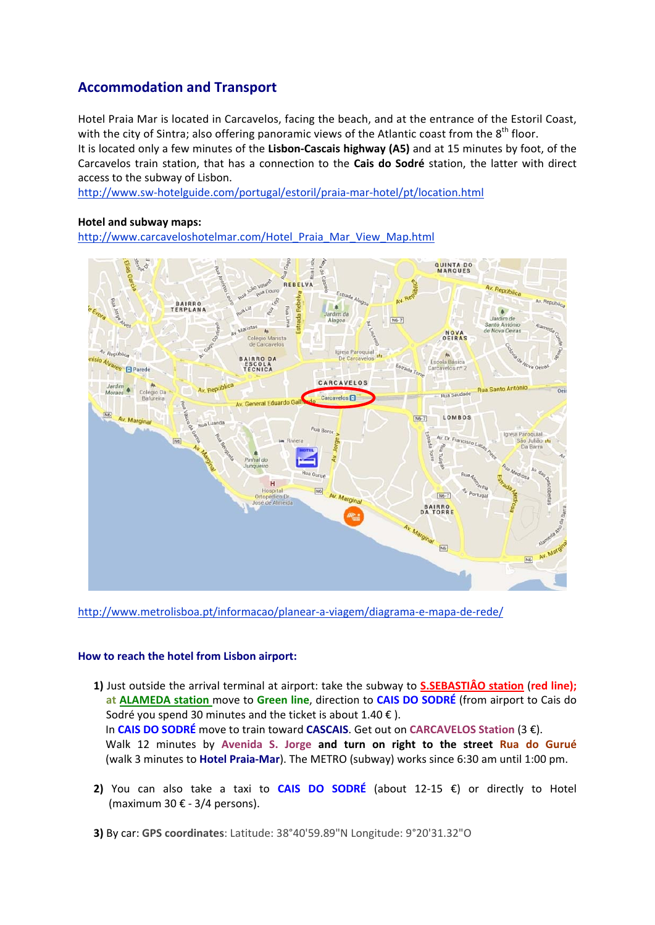## **Accommodation and Transport**

Hotel Praia Mar is located in Carcavelos, facing the beach, and at the entrance of the Estoril Coast, with the city of Sintra; also offering panoramic views of the Atlantic coast from the  $8<sup>th</sup>$  floor.

It is located only a few minutes of the **Lisbon‐Cascais highway (A5)** and at 15 minutes by foot, of the Carcavelos train station, that has a connection to the **Cais do Sodré** station, the latter with direct access to the subway of Lisbon.

http://www.sw‐hotelguide.com/portugal/estoril/praia‐mar‐hotel/pt/location.html

#### **Hotel and subway maps:**

http://www.carcaveloshotelmar.com/Hotel\_Praia\_Mar\_View\_Map.html



http://www.metrolisboa.pt/informacao/planear-a-viagem/diagrama-e-mapa-de-rede/

#### **How to reach the hotel from Lisbon airport:**

- **1)** Just outside the arrival terminal at airport: take the subway to **S.SEBASTIÂO station** (**red line); at ALAMEDA station** move to **Green line**, direction to **CAIS DO SODRÉ** (from airport to Cais do Sodré you spend 30 minutes and the ticket is about  $1.40 \in$ ). In **CAIS DO SODRÉ** move to train toward **CASCAIS**. Get out on **CARCAVELOS Station** (3 €). Walk 12 minutes by **Avenida S. Jorge and turn on right to the street Rua do Gurué** (walk 3 minutes to **Hotel Praia‐Mar**). The METRO (subway) works since 6:30 am until 1:00 pm.
- **2)** You can also take a taxi to **CAIS DO SODRÉ** (about 12‐15 €) or directly to Hotel (maximum 30 $\epsilon$  - 3/4 persons).

**3)** By car: **GPS coordinates**: Latitude: 38°40'59.89"N Longitude: 9°20'31.32"O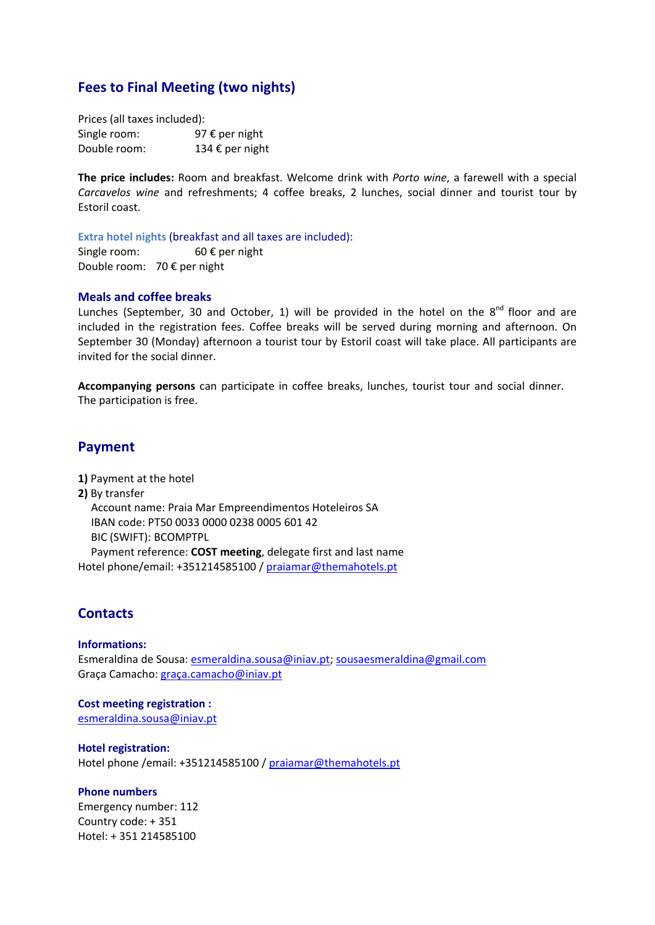## **Fees to Final Meeting (two nights)**

Prices (all taxes included): Single room: 97 € per night Double room: 134 € per night

**The price includes:** Room and breakfast. Welcome drink with *Porto wine*, a farewell with a special *Carcavelos wine* and refreshments; 4 coffee breaks, 2 lunches, social dinner and tourist tour by Estoril coast.

**Extra hotel nights** (breakfast and all taxes are included):

Single room:  $60 \text{ € per night}$ Double room: 70 € per night

#### **Meals and coffee breaks**

Lunches (September, 30 and October, 1) will be provided in the hotel on the  $8^{nd}$  floor and are included in the registration fees. Coffee breaks will be served during morning and afternoon. On September 30 (Monday) afternoon a tourist tour by Estoril coast will take place. All participants are invited for the social dinner.

**Accompanying persons** can participate in coffee breaks, lunches, tourist tour and social dinner. The participation is free.

### **Payment**

**1)** Payment at the hotel **2)** By transfer Account name: Praia Mar Empreendimentos Hoteleiros SA IBAN code: PT50 0033 0000 0238 0005 601 42 BIC (SWIFT): BCOMPTPL

Payment reference: **COST meeting**, delegate first and last name Hotel phone/email: +351214585100 / praiamar@themahotels.pt

## **Contacts**

#### **Informations:**

Esmeraldina de Sousa: esmeraldina.sousa@iniav.pt; sousaesmeraldina@gmail.com Graça Camacho: graça.camacho@iniav.pt

**Cost meeting registration :** esmeraldina.sousa@iniav.pt

**Hotel registration:** Hotel phone /email: +351214585100 / praiamar@themahotels.pt

#### **Phone numbers**

Emergency number: 112 Country code: + 351 Hotel: + 351 214585100